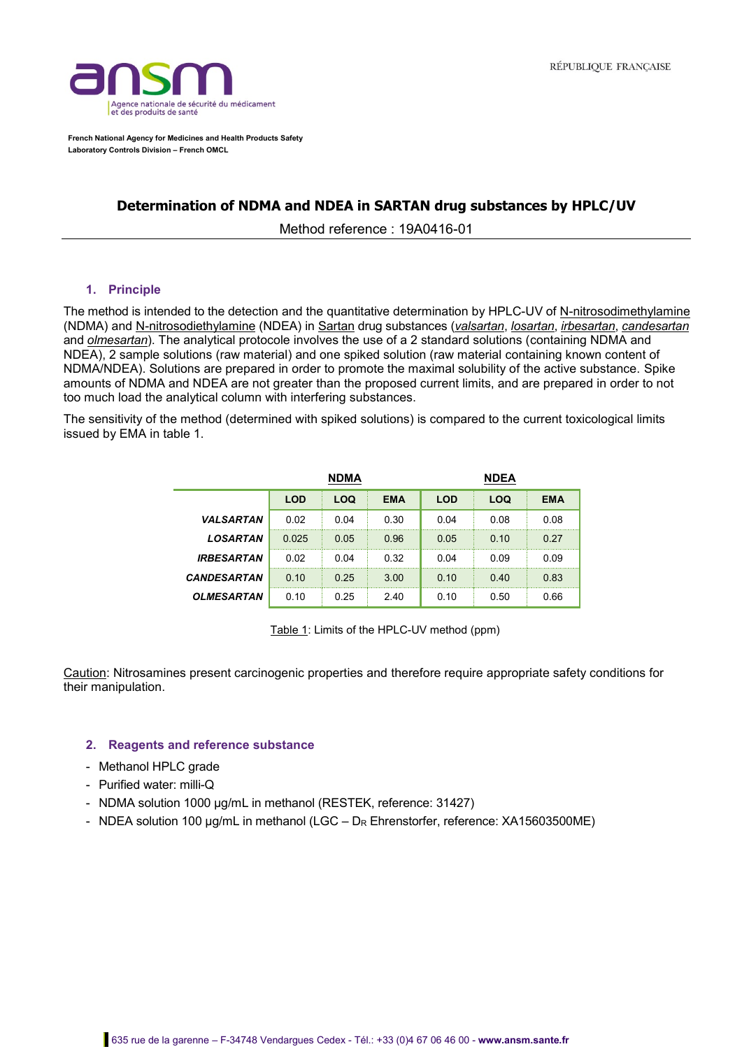

**French National Agency for Medicines and Health Products Safety Laboratory Controls Division – French OMCL**

# **Determination of NDMA and NDEA in SARTAN drug substances by HPLC/UV**

Method reference : 19A0416-01

#### **1. Principle**

The method is intended to the detection and the quantitative determination by HPLC-UV of N-nitrosodimethylamine (NDMA) and N-nitrosodiethylamine (NDEA) in Sartan drug substances (*valsartan*, *losartan*, *irbesartan*, *candesartan* and *olmesartan*). The analytical protocole involves the use of a 2 standard solutions (containing NDMA and NDEA), 2 sample solutions (raw material) and one spiked solution (raw material containing known content of NDMA/NDEA). Solutions are prepared in order to promote the maximal solubility of the active substance. Spike amounts of NDMA and NDEA are not greater than the proposed current limits, and are prepared in order to not too much load the analytical column with interfering substances.

The sensitivity of the method (determined with spiked solutions) is compared to the current toxicological limits issued by EMA in table 1.

|                    | <b>LOD</b> | LOQ  | <b>EMA</b> | <b>LOD</b> | LOQ  | EMA   |  |
|--------------------|------------|------|------------|------------|------|-------|--|
| <b>VALSARTAN</b>   | 0.02       | 0.04 | 0.30       | 0.04       | 0.08 | 0 O.S |  |
| <b>LOSARTAN</b>    | 0.025      | 0.05 | 0.96       | 0.05       | 0.10 | 0.27  |  |
| <b>IRBESARTAN</b>  | 0.02       | 0.04 | 0.32       | 0.04       | 0 09 | ი ი9  |  |
| <b>CANDESARTAN</b> | 0.10       | 0.25 | 3.00       | 0.10       | 0.40 | ი გვ  |  |
| <b>OLMESARTAN</b>  | በ 1በ       | ი 25 | 2 40       | 0.10       |      | 66    |  |

Table 1: Limits of the HPLC-UV method (ppm)

Caution: Nitrosamines present carcinogenic properties and therefore require appropriate safety conditions for their manipulation.

#### **2. Reagents and reference substance**

- Methanol HPLC grade
- Purified water: milli-Q
- NDMA solution 1000 µg/mL in methanol (RESTEK, reference: 31427)
- NDEA solution 100  $\mu$ g/mL in methanol (LGC D<sub>R</sub> Ehrenstorfer, reference: XA15603500ME)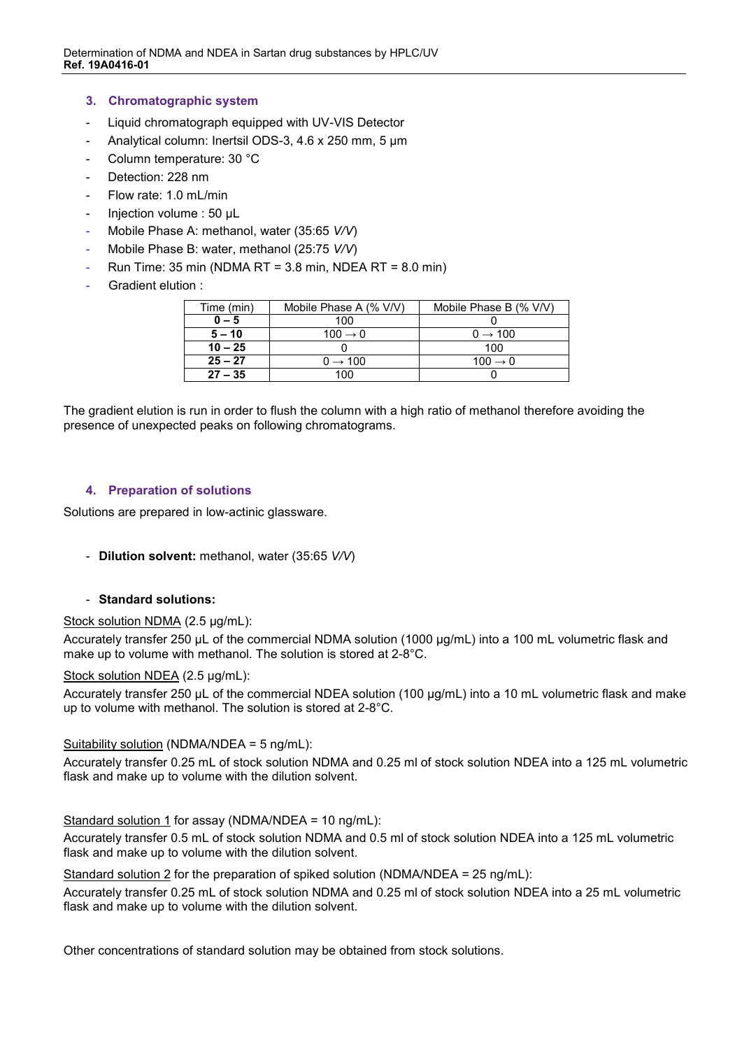## **3. Chromatographic system**

- Liquid chromatograph equipped with UV-VIS Detector
- Analytical column: Inertsil ODS-3, 4.6 x 250 mm, 5 µm
- Column temperature: 30 °C
- Detection: 228 nm
- Flow rate: 1.0 mL/min
- Injection volume : 50 μL
- Mobile Phase A: methanol, water (35:65 *V/V*)
- Mobile Phase B: water, methanol (25:75 *V/V*)
- Run Time:  $35 \text{ min}$  (NDMA RT =  $3.8 \text{ min}$ , NDEA RT =  $8.0 \text{ min}$ )
- Gradient elution :

| Time (min) | Mobile Phase A (% V/V) | Mobile Phase B (% V/V) |  |  |
|------------|------------------------|------------------------|--|--|
| $0 - 5$    | 100                    |                        |  |  |
| $5 - 10$   | $100 \rightarrow 0$    | $0 \rightarrow 100$    |  |  |
| $10 - 25$  |                        | 100                    |  |  |
| $25 - 27$  | $0 \rightarrow 100$    | $100 \rightarrow 0$    |  |  |
| $27 - 35$  | 1በበ                    |                        |  |  |

The gradient elution is run in order to flush the column with a high ratio of methanol therefore avoiding the presence of unexpected peaks on following chromatograms.

## **4. Preparation of solutions**

Solutions are prepared in low-actinic glassware.

- **Dilution solvent:** methanol, water (35:65 *V/V*)

### - **Standard solutions:**

### Stock solution NDMA (2.5 µg/mL):

Accurately transfer 250 uL of the commercial NDMA solution (1000 ug/mL) into a 100 mL volumetric flask and make up to volume with methanol. The solution is stored at 2-8°C.

### Stock solution NDEA (2.5 µg/mL):

Accurately transfer 250 µL of the commercial NDEA solution (100 µg/mL) into a 10 mL volumetric flask and make up to volume with methanol. The solution is stored at 2-8°C.

### Suitability solution (NDMA/NDEA = 5 ng/mL):

Accurately transfer 0.25 mL of stock solution NDMA and 0.25 ml of stock solution NDEA into a 125 mL volumetric flask and make up to volume with the dilution solvent.

### Standard solution 1 for assay (NDMA/NDEA = 10 ng/mL):

Accurately transfer 0.5 mL of stock solution NDMA and 0.5 ml of stock solution NDEA into a 125 mL volumetric flask and make up to volume with the dilution solvent.

### Standard solution 2 for the preparation of spiked solution (NDMA/NDEA =  $25$  ng/mL):

Accurately transfer 0.25 mL of stock solution NDMA and 0.25 ml of stock solution NDEA into a 25 mL volumetric flask and make up to volume with the dilution solvent.

Other concentrations of standard solution may be obtained from stock solutions.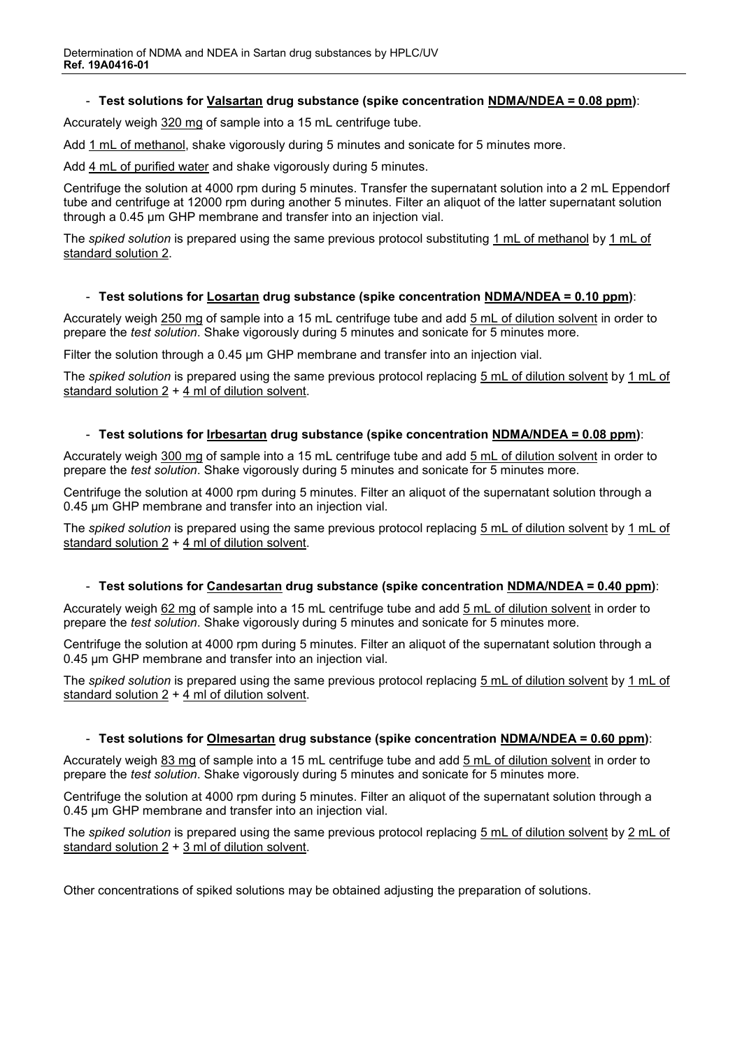## - **Test solutions for Valsartan drug substance (spike concentration NDMA/NDEA = 0.08 ppm)**:

Accurately weigh 320 mg of sample into a 15 mL centrifuge tube.

Add 1 mL of methanol, shake vigorously during 5 minutes and sonicate for 5 minutes more.

Add 4 mL of purified water and shake vigorously during 5 minutes.

Centrifuge the solution at 4000 rpm during 5 minutes. Transfer the supernatant solution into a 2 mL Eppendorf tube and centrifuge at 12000 rpm during another 5 minutes. Filter an aliquot of the latter supernatant solution through a 0.45 µm GHP membrane and transfer into an injection vial.

The *spiked solution* is prepared using the same previous protocol substituting 1 mL of methanol by 1 mL of standard solution 2.

## - **Test solutions for Losartan drug substance (spike concentration NDMA/NDEA = 0.10 ppm)**:

Accurately weigh 250 mg of sample into a 15 mL centrifuge tube and add 5 mL of dilution solvent in order to prepare the *test solution*. Shake vigorously during 5 minutes and sonicate for 5 minutes more.

Filter the solution through a 0.45 um GHP membrane and transfer into an injection vial.

The *spiked solution* is prepared using the same previous protocol replacing 5 mL of dilution solvent by 1 mL of standard solution 2 + 4 ml of dilution solvent.

### - **Test solutions for Irbesartan drug substance (spike concentration NDMA/NDEA = 0.08 ppm)**:

Accurately weigh 300 mg of sample into a 15 mL centrifuge tube and add 5 mL of dilution solvent in order to prepare the *test solution*. Shake vigorously during 5 minutes and sonicate for 5 minutes more.

Centrifuge the solution at 4000 rpm during 5 minutes. Filter an aliquot of the supernatant solution through a 0.45 µm GHP membrane and transfer into an injection vial.

The *spiked solution* is prepared using the same previous protocol replacing 5 mL of dilution solvent by 1 mL of standard solution 2 + 4 ml of dilution solvent.

### - **Test solutions for Candesartan drug substance (spike concentration NDMA/NDEA = 0.40 ppm)**:

Accurately weigh 62 mg of sample into a 15 mL centrifuge tube and add 5 mL of dilution solvent in order to prepare the *test solution*. Shake vigorously during 5 minutes and sonicate for 5 minutes more.

Centrifuge the solution at 4000 rpm during 5 minutes. Filter an aliquot of the supernatant solution through a 0.45 µm GHP membrane and transfer into an injection vial.

The *spiked solution* is prepared using the same previous protocol replacing 5 mL of dilution solvent by 1 mL of standard solution 2 + 4 ml of dilution solvent.

### - **Test solutions for Olmesartan drug substance (spike concentration NDMA/NDEA = 0.60 ppm)**:

Accurately weigh 83 mg of sample into a 15 mL centrifuge tube and add 5 mL of dilution solvent in order to prepare the *test solution*. Shake vigorously during 5 minutes and sonicate for 5 minutes more.

Centrifuge the solution at 4000 rpm during 5 minutes. Filter an aliquot of the supernatant solution through a 0.45 µm GHP membrane and transfer into an injection vial.

The *spiked solution* is prepared using the same previous protocol replacing 5 mL of dilution solvent by 2 mL of standard solution 2 + 3 ml of dilution solvent.

Other concentrations of spiked solutions may be obtained adjusting the preparation of solutions.